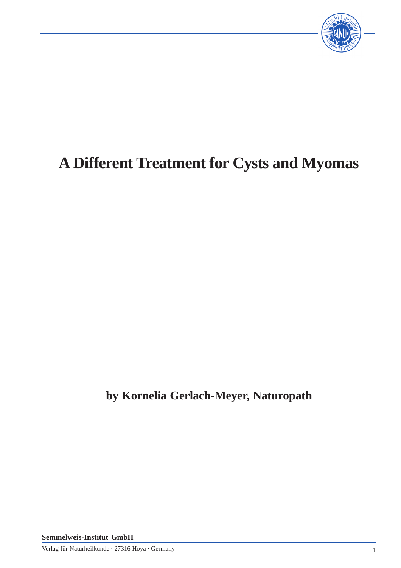

# **A Different Treatment for Cysts and Myomas**

**by Kornelia Gerlach-Meyer, Naturopath**

**Semmelweis-Institut GmbH**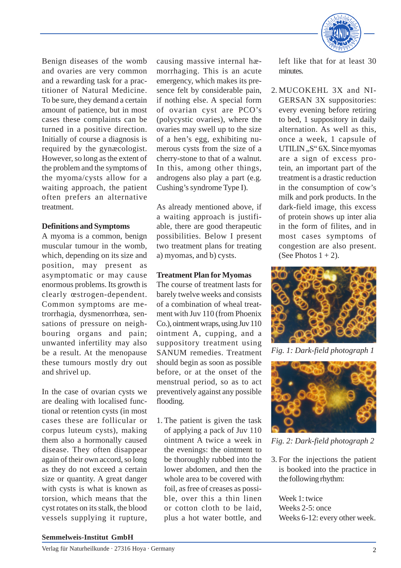

Benign diseases of the womb and ovaries are very common and a rewarding task for a practitioner of Natural Medicine. To be sure, they demand a certain amount of patience, but in most cases these complaints can be turned in a positive direction. Initially of course a diagnosis is required by the gynæcologist. However, so long as the extent of the problem and the symptoms of the myoma/cysts allow for a waiting approach, the patient often prefers an alternative treatment.

# **Definitions and Symptoms**

A myoma is a common, benign muscular tumour in the womb, which, depending on its size and position, may present as asymptomatic or may cause enormous problems. Its growth is clearly œstrogen-dependent. Common symptoms are metrorrhagia, dysmenorrhœa, sensations of pressure on neighbouring organs and pain; unwanted infertility may also be a result. At the menopause these tumours mostly dry out and shrivel up.

In the case of ovarian cysts we are dealing with localised functional or retention cysts (in most cases these are follicular or corpus luteum cysts), making them also a hormonally caused disease. They often disappear again of their own accord, so long as they do not exceed a certain size or quantity. A great danger with cysts is what is known as torsion, which means that the cyst rotates on its stalk, the blood vessels supplying it rupture,

causing massive internal hæmorrhaging. This is an acute emergency, which makes its presence felt by considerable pain, if nothing else. A special form of ovarian cyst are PCO's (polycystic ovaries), where the ovaries may swell up to the size of a hen's egg, exhibiting numerous cysts from the size of a cherry-stone to that of a walnut. In this, among other things, androgens also play a part (e.g. Cushing's syndrome Type I).

As already mentioned above, if a waiting approach is justifiable, there are good therapeutic possibilities. Below I present two treatment plans for treating a) myomas, and b) cysts.

## **Treatment Plan for Myomas**

The course of treatment lasts for barely twelve weeks and consists of a combination of wheal treatment with Juv 110 (from Phoenix Co.), ointment wraps, using Juv 110 ointment A, cupping, and a suppository treatment using SANUM remedies. Treatment should begin as soon as possible before, or at the onset of the menstrual period, so as to act preventively against any possible flooding.

1. The patient is given the task of applying a pack of Juv 110 ointment A twice a week in the evenings: the ointment to be thoroughly rubbed into the lower abdomen, and then the whole area to be covered with foil, as free of creases as possible, over this a thin linen or cotton cloth to be laid, plus a hot water bottle, and

left like that for at least 30 minutes.

2. MUCOKEHL 3X and NI-GERSAN 3X suppositories: every evening before retiring to bed, 1 suppository in daily alternation. As well as this, once a week, 1 capsule of UTILIN, "S" 6X. Since myomas are a sign of excess protein, an important part of the treatment is a drastic reduction in the consumption of cow's milk and pork products. In the dark-field image, this excess of protein shows up inter alia in the form of filites, and in most cases symptoms of congestion are also present. (See Photos  $1 + 2$ ).



*Fig. 1: Dark-field photograph 1*



*Fig. 2: Dark-field photograph 2*

3. For the injections the patient is booked into the practice in the following rhythm:

Week 1: twice Weeks 2-5: once Weeks 6-12: every other week.

### **Semmelweis-Institut GmbH**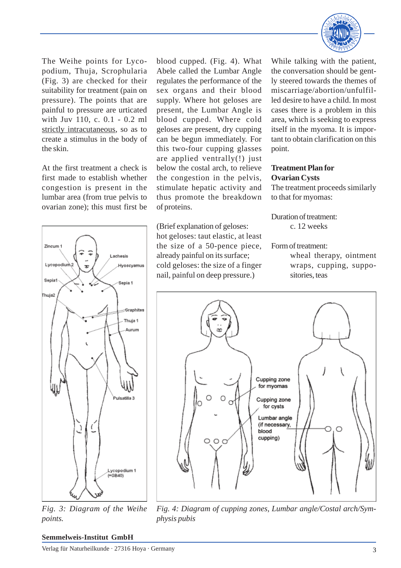

The Weihe points for Lycopodium, Thuja, Scrophularia (Fig. 3) are checked for their suitability for treatment (pain on pressure). The points that are painful to pressure are urticated with Juv 110, c. 0.1 - 0.2 ml strictly intracutaneous, so as to create a stimulus in the body of the skin.

At the first treatment a check is first made to establish whether congestion is present in the lumbar area (from true pelvis to ovarian zone); this must first be



*Fig. 3: Diagram of the Weihe points.*

blood cupped. (Fig. 4). What Abele called the Lumbar Angle regulates the performance of the sex organs and their blood supply. Where hot geloses are present, the Lumbar Angle is blood cupped. Where cold geloses are present, dry cupping can be begun immediately. For this two-four cupping glasses are applied ventrally(!) just below the costal arch, to relieve the congestion in the pelvis, stimulate hepatic activity and thus promote the breakdown of proteins.

(Brief explanation of geloses: hot geloses: taut elastic, at least the size of a 50-pence piece, already painful on its surface; cold geloses: the size of a finger nail, painful on deep pressure.)

While talking with the patient, the conversation should be gently steered towards the themes of miscarriage/abortion/unfulfilled desire to have a child. In most cases there is a problem in this area, which is seeking to express itself in the myoma. It is important to obtain clarification on this point.

# **Treatment Plan for Ovarian Cysts**

The treatment proceeds similarly to that for myomas:

Duration of treatment: c. 12 weeks

Form of treatment:

wheal therapy, ointment wraps, cupping, suppositories, teas



*Fig. 4: Diagram of cupping zones, Lumbar angle/Costal arch/Symphysis pubis*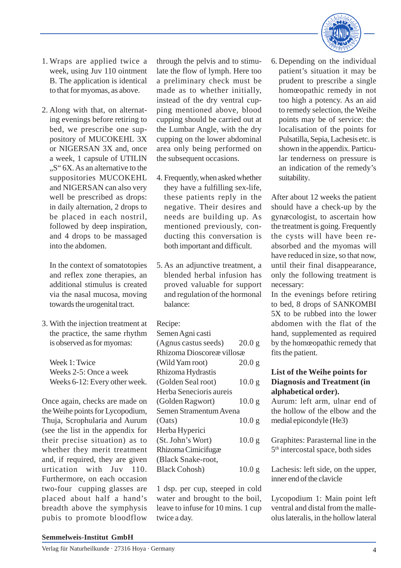

- 1. Wraps are applied twice a week, using Juv 110 ointment B. The application is identical to that for myomas, as above.
- 2. Along with that, on alternating evenings before retiring to bed, we prescribe one suppository of MUCOKEHL 3X or NIGERSAN 3X and, once a week, 1 capsule of UTILIN  $,S''$  6X. As an alternative to the suppositories MUCOKEHL and NIGERSAN can also very well be prescribed as drops: in daily alternation, 2 drops to be placed in each nostril, followed by deep inspiration, and 4 drops to be massaged into the abdomen.

In the context of somatotopies and reflex zone therapies, an additional stimulus is created via the nasal mucosa, moving towards the urogenital tract.

3. With the injection treatment at the practice, the same rhythm is observed as for myomas:

Week 1: Twice Weeks 2-5: Once a week Weeks 6-12: Every other week.

Once again, checks are made on the Weihe points for Lycopodium, Thuja, Scrophularia and Aurum (see the list in the appendix for their precise situation) as to whether they merit treatment and, if required, they are given urtication with Juv 110. Furthermore, on each occasion two-four cupping glasses are placed about half a hand's breadth above the symphysis pubis to promote bloodflow

through the pelvis and to stimulate the flow of lymph. Here too a preliminary check must be made as to whether initially, instead of the dry ventral cupping mentioned above, blood cupping should be carried out at the Lumbar Angle, with the dry cupping on the lower abdominal area only being performed on the subsequent occasions.

- 4. Frequently, when asked whether they have a fulfilling sex-life, these patients reply in the negative. Their desires and needs are building up. As mentioned previously, conducting this conversation is both important and difficult.
- 5. As an adjunctive treatment, a blended herbal infusion has proved valuable for support and regulation of the hormonal balance:

Recipe:

| Semen Agni casti          |                   |
|---------------------------|-------------------|
| (Agnus castus seeds)      | 20.0 g            |
| Rhizoma Dioscoreæ villosæ |                   |
| (Wild Yam root)           | 20.0 g            |
| Rhizoma Hydrastis         |                   |
| (Golden Seal root)        | 10.0 <sub>g</sub> |
| Herba Senecioris aureis   |                   |
| (Golden Ragwort)          | 10.0 <sub>g</sub> |
| Semen Stramentum Avena    |                   |
| (Oats)                    | 10.0 <sub>g</sub> |
| Herba Hyperici            |                   |
| (St. John's Wort)         | 10.0 <sub>g</sub> |
| Rhizoma Cimicifugæ        |                   |
| (Black Snake-root,        |                   |
| <b>Black Cohosh</b> )     | 10.0 <sub>g</sub> |
|                           |                   |

1 dsp. per cup, steeped in cold water and brought to the boil, leave to infuse for 10 mins. 1 cup twice a day.

6. Depending on the individual patient's situation it may be prudent to prescribe a single homœopathic remedy in not too high a potency. As an aid to remedy selection, the Weihe points may be of service: the localisation of the points for Pulsatilla, Sepia, Lachesis etc. is shown in the appendix. Particular tenderness on pressure is an indication of the remedy's suitability.

After about 12 weeks the patient should have a check-up by the gynæcologist, to ascertain how the treatment is going. Frequently the cysts will have been reabsorbed and the myomas will have reduced in size, so that now, until their final disappearance, only the following treatment is necessary:

In the evenings before retiring to bed, 8 drops of SANKOMBI 5X to be rubbed into the lower abdomen with the flat of the hand, supplemented as required by the homœopathic remedy that fits the patient.

# **List of the Weihe points for Diagnosis and Treatment (in alphabetical order).**

Aurum: left arm, ulnar end of the hollow of the elbow and the medial epicondyle (He3)

Graphites: Parasternal line in the 5<sup>th</sup> intercostal space, both sides

Lachesis: left side, on the upper, inner end of the clavicle

Lycopodium 1: Main point left ventral and distal from the malleolus lateralis, in the hollow lateral

### **Semmelweis-Institut GmbH**